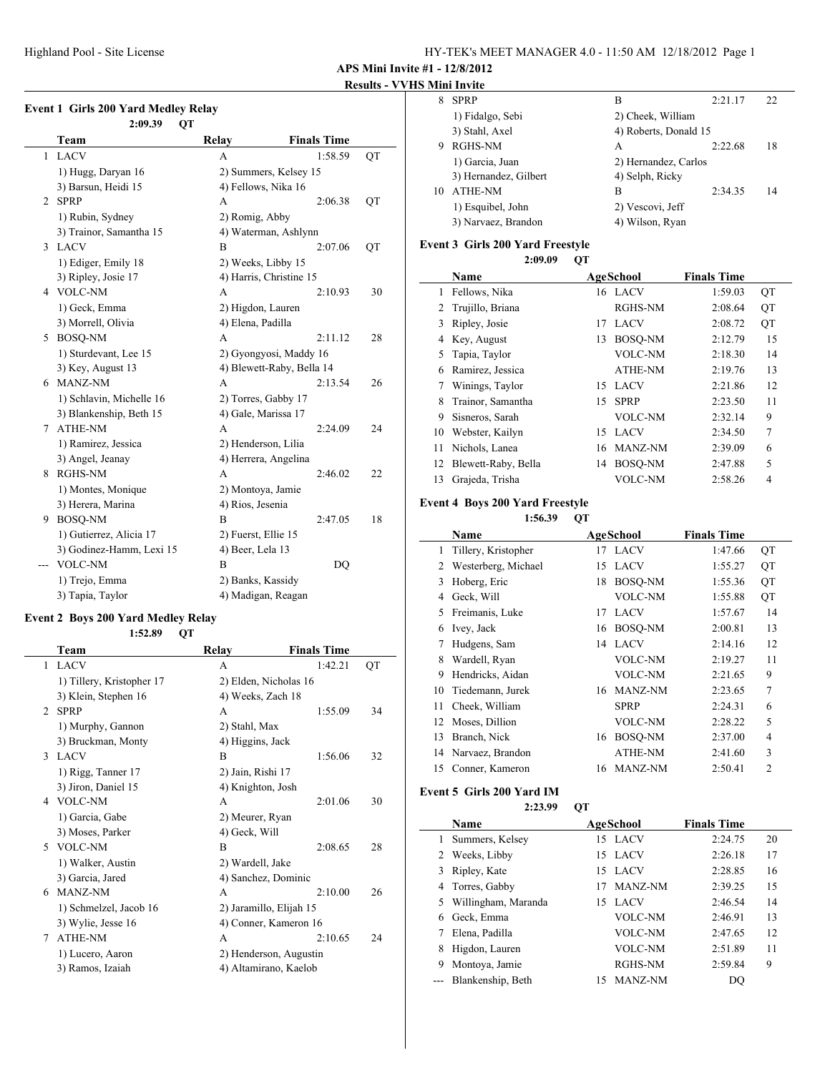#### **Results - VVHS Mini Invite**

|    | 2:09.39<br>QT            |                           |                    |    |
|----|--------------------------|---------------------------|--------------------|----|
|    | Team                     | Relay                     | <b>Finals Time</b> |    |
| 1  | <b>LACV</b>              | A                         | 1:58.59            | QT |
|    | 1) Hugg, Daryan 16       | 2) Summers, Kelsey 15     |                    |    |
|    | 3) Barsun, Heidi 15      | 4) Fellows, Nika 16       |                    |    |
| 2  | <b>SPRP</b>              | A                         | 2:06.38            | QT |
|    | 1) Rubin, Sydney         | 2) Romig, Abby            |                    |    |
|    | 3) Trainor, Samantha 15  | 4) Waterman, Ashlynn      |                    |    |
| 3  | <b>LACV</b>              | B                         | 2:07.06            | QT |
|    | 1) Ediger, Emily 18      | 2) Weeks, Libby 15        |                    |    |
|    | 3) Ripley, Josie 17      | 4) Harris, Christine 15   |                    |    |
| 4  | <b>VOLC-NM</b>           | A                         | 2:10.93            | 30 |
|    | 1) Geck, Emma            | 2) Higdon, Lauren         |                    |    |
|    | 3) Morrell, Olivia       | 4) Elena, Padilla         |                    |    |
|    | 5 BOSQ-NM                | A                         | 2:11.12            | 28 |
|    | 1) Sturdevant, Lee 15    | 2) Gyongyosi, Maddy 16    |                    |    |
|    | 3) Key, August 13        | 4) Blewett-Raby, Bella 14 |                    |    |
|    | 6 MANZ-NM                | A                         | 2:13.54            | 26 |
|    | 1) Schlavin, Michelle 16 | 2) Torres, Gabby 17       |                    |    |
|    | 3) Blankenship, Beth 15  | 4) Gale, Marissa 17       |                    |    |
| 7  | <b>ATHE-NM</b>           | A                         | 2:24.09            | 24 |
|    | 1) Ramirez, Jessica      | 2) Henderson, Lilia       |                    |    |
|    | 3) Angel, Jeanay         | 4) Herrera, Angelina      |                    |    |
| 8. | <b>RGHS-NM</b>           | A                         | 2:46.02            | 22 |
|    | 1) Montes, Monique       | 2) Montoya, Jamie         |                    |    |
|    | 3) Herera, Marina        | 4) Rios, Jesenia          |                    |    |
| 9. | BOSQ-NM                  | B                         | 2:47.05            | 18 |
|    | 1) Gutierrez, Alicia 17  | 2) Fuerst, Ellie 15       |                    |    |
|    | 3) Godinez-Hamm, Lexi 15 | 4) Beer, Lela 13          |                    |    |
|    | VOLC-NM                  | B                         | DQ                 |    |
|    | 1) Trejo, Emma           | 2) Banks, Kassidy         |                    |    |
|    | 3) Tapia, Taylor         | 4) Madigan, Reagan        |                    |    |

#### **Event 2 Boys 200 Yard Medley Relay**

|                | 1:52.89                   | QT |                   |                         |    |
|----------------|---------------------------|----|-------------------|-------------------------|----|
|                | Team                      |    | Relay             | <b>Finals Time</b>      |    |
| 1              | <b>LACV</b>               |    | A                 | 1:42.21                 | QT |
|                | 1) Tillery, Kristopher 17 |    |                   | 2) Elden, Nicholas 16   |    |
|                | 3) Klein, Stephen 16      |    | 4) Weeks, Zach 18 |                         |    |
| $\mathfrak{D}$ | <b>SPRP</b>               |    | A                 | 1:55.09                 | 34 |
|                | 1) Murphy, Gannon         |    | 2) Stahl, Max     |                         |    |
|                | 3) Bruckman, Monty        |    | 4) Higgins, Jack  |                         |    |
| 3              | <b>LACV</b>               |    | B                 | 1:56.06                 | 32 |
|                | 1) Rigg, Tanner 17        |    | 2) Jain, Rishi 17 |                         |    |
|                | 3) Jiron, Daniel 15       |    | 4) Knighton, Josh |                         |    |
|                | 4 VOLC-NM                 |    | A                 | 2:01.06                 | 30 |
|                | 1) Garcia, Gabe           |    | 2) Meurer, Ryan   |                         |    |
|                | 3) Moses, Parker          |    | 4) Geck, Will     |                         |    |
|                | 5 VOLC-NM                 |    | B                 | 2:08.65                 | 28 |
|                | 1) Walker, Austin         |    | 2) Wardell, Jake  |                         |    |
|                | 3) Garcia, Jared          |    |                   | 4) Sanchez, Dominic     |    |
| 6              | MANZ-NM                   |    | A                 | 2:10.00                 | 26 |
|                | 1) Schmelzel, Jacob 16    |    |                   | 2) Jaramillo, Elijah 15 |    |
|                | 3) Wylie, Jesse 16        |    |                   | 4) Conner, Kameron 16   |    |
| 7              | <b>ATHE-NM</b>            |    | A                 | 2:10.65                 | 24 |
|                | 1) Lucero, Aaron          |    |                   | 2) Henderson, Augustin  |    |
|                | 3) Ramos, Izaiah          |    |                   | 4) Altamirano, Kaelob   |    |
|                |                           |    |                   |                         |    |

| 8  | <b>SPRP</b>           | в                     | 2:21.17 | 22 |
|----|-----------------------|-----------------------|---------|----|
|    | 1) Fidalgo, Sebi      | 2) Cheek, William     |         |    |
|    | 3) Stahl, Axel        | 4) Roberts, Donald 15 |         |    |
| 9  | RGHS-NM               | A                     | 2:22.68 | 18 |
|    | 1) Garcia, Juan       | 2) Hernandez, Carlos  |         |    |
|    | 3) Hernandez, Gilbert | 4) Selph, Ricky       |         |    |
| 10 | <b>ATHE-NM</b>        | в                     | 2:34.35 | 14 |
|    | 1) Esquibel, John     | 2) Vescovi, Jeff      |         |    |
|    | 3) Narvaez, Brandon   | 4) Wilson, Ryan       |         |    |
|    |                       |                       |         |    |

### **Event 3 Girls 200 Yard Freestyle**

|    | 2:09.09             | OТ |                  |                    |                |
|----|---------------------|----|------------------|--------------------|----------------|
|    | Name                |    | <b>AgeSchool</b> | <b>Finals Time</b> |                |
| 1  | Fellows, Nika       |    | 16 LACV          | 1:59.03            | QT             |
| 2  | Trujillo, Briana    |    | RGHS-NM          | 2:08.64            | QT             |
| 3  | Ripley, Josie       | 17 | LACV             | 2:08.72            | QT             |
| 4  | Key, August         | 13 | <b>BOSO-NM</b>   | 2:12.79            | 15             |
| 5  | Tapia, Taylor       |    | <b>VOLC-NM</b>   | 2:18.30            | 14             |
| 6  | Ramirez, Jessica    |    | <b>ATHE-NM</b>   | 2:19.76            | 13             |
| 7  | Winings, Taylor     | 15 | <b>LACV</b>      | 2:21.86            | 12             |
| 8  | Trainor, Samantha   | 15 | <b>SPRP</b>      | 2:23.50            | 11             |
| 9  | Sisneros, Sarah     |    | <b>VOLC-NM</b>   | 2:32.14            | 9              |
| 10 | Webster, Kailyn     | 15 | <b>LACV</b>      | 2:34.50            | $\overline{7}$ |
| 11 | Nichols, Lanea      | 16 | MANZ-NM          | 2:39.09            | 6              |
| 12 | Blewett-Raby, Bella | 14 | <b>BOSO-NM</b>   | 2:47.88            | 5              |
| 13 | Grajeda, Trisha     |    | <b>VOLC-NM</b>   | 2:58.26            | 4              |

#### **Event 4 Boys 200 Yard Freestyle**

 $\frac{1}{2}$ 

**1:56.39 QT**

|    | Name                | <b>AgeSchool</b> |                | <b>Finals Time</b> |                |
|----|---------------------|------------------|----------------|--------------------|----------------|
| 1  | Tillery, Kristopher |                  | 17 LACV        | 1:47.66            | QT             |
| 2  | Westerberg, Michael | 15               | <b>LACV</b>    | 1:55.27            | QT             |
| 3  | Hoberg, Eric        | 18               | <b>BOSO-NM</b> | 1:55.36            | QT             |
| 4  | Geck, Will          |                  | VOLC-NM        | 1:55.88            | QT             |
| 5  | Freimanis, Luke     | 17               | <b>LACV</b>    | 1:57.67            | 14             |
| 6  | Ivey, Jack          | 16               | <b>BOSO-NM</b> | 2:00.81            | 13             |
| 7  | Hudgens, Sam        | 14               | <b>LACV</b>    | 2:14.16            | 12             |
| 8  | Wardell, Ryan       |                  | VOLC-NM        | 2:19.27            | 11             |
| 9  | Hendricks, Aidan    |                  | VOLC-NM        | 2:21.65            | 9              |
| 10 | Tiedemann, Jurek    | 16               | MANZ-NM        | 2:23.65            | 7              |
| 11 | Cheek, William      |                  | <b>SPRP</b>    | 2:24.31            | 6              |
| 12 | Moses, Dillion      |                  | VOLC-NM        | 2:28.22            | 5              |
| 13 | Branch, Nick        | 16               | <b>BOSO-NM</b> | 2:37.00            | 4              |
| 14 | Narvaez, Brandon    |                  | <b>ATHE-NM</b> | 2:41.60            | 3              |
| 15 | Conner, Kameron     | 16               | <b>MANZ-NM</b> | 2:50.41            | $\overline{2}$ |

#### **Event 5 Girls 200 Yard IM**

**2:23.99 QT**

|   | Name                  | <b>AgeSchool</b> |                | <b>Finals Time</b> |    |
|---|-----------------------|------------------|----------------|--------------------|----|
|   | Summers, Kelsey       |                  | 15 LACV        | 2:24.75            | 20 |
|   | 2 Weeks, Libby        |                  | 15 LACV        | 2:26.18            | 17 |
|   | 3 Ripley, Kate        |                  | 15 LACV        | 2:28.85            | 16 |
|   | 4 Torres, Gabby       | 17               | MANZ-NM        | 2:39.25            | 15 |
|   | 5 Willingham, Maranda | 15.              | <b>LACV</b>    | 2:46.54            | 14 |
| 6 | Geck, Emma            |                  | <b>VOLC-NM</b> | 2:46.91            | 13 |
|   | Elena, Padilla        |                  | <b>VOLC-NM</b> | 2:47.65            | 12 |
| 8 | Higdon, Lauren        |                  | <b>VOLC-NM</b> | 2:51.89            | 11 |
| 9 | Montoya, Jamie        |                  | RGHS-NM        | 2:59.84            | 9  |
|   | Blankenship, Beth     | 15               | MANZ-NM        | DO                 |    |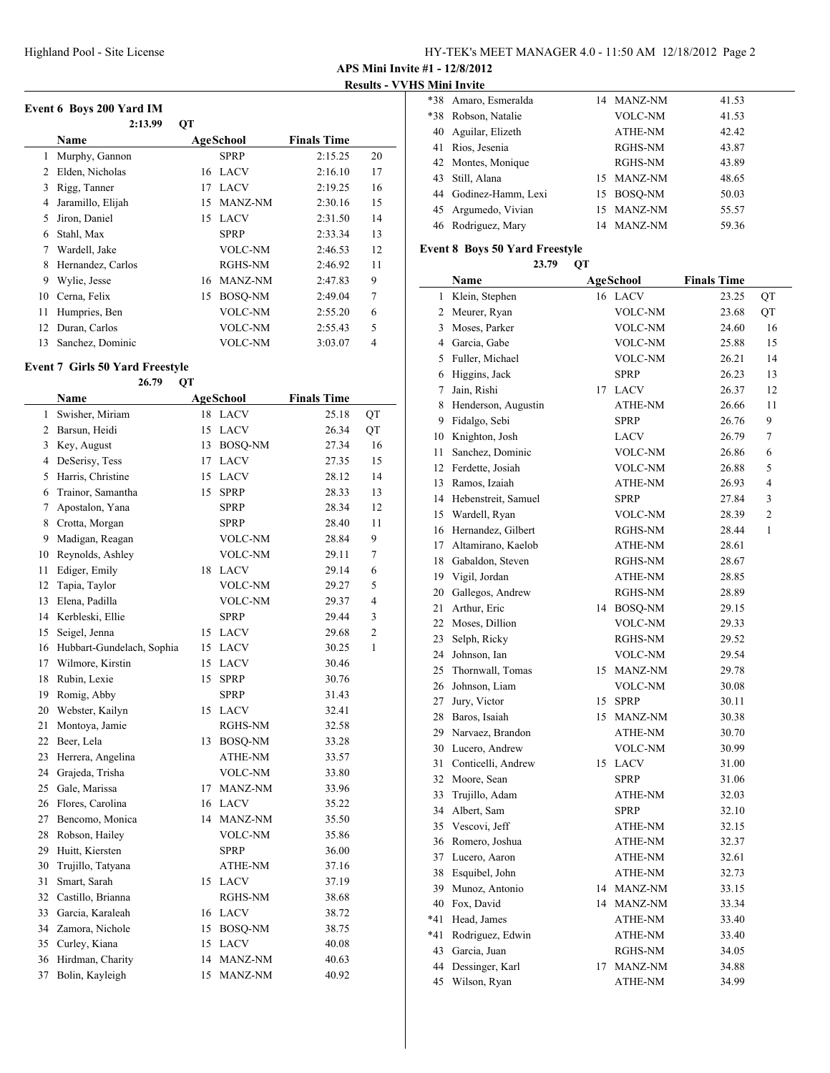**Results - VVHS Mini Invite**

|    | Event 6 Boys 200 Yard IM<br>2:13.99 | QT        |                |                    |    |
|----|-------------------------------------|-----------|----------------|--------------------|----|
|    | Name                                | AgeSchool |                | <b>Finals Time</b> |    |
| 1  | Murphy, Gannon                      |           | <b>SPRP</b>    | 2:15.25            | 20 |
| 2  | Elden, Nicholas                     |           | 16 LACV        | 2:16.10            | 17 |
| 3  | Rigg, Tanner                        | 17        | <b>LACV</b>    | 2:19.25            | 16 |
| 4  | Jaramillo, Elijah                   | 15        | MANZ-NM        | 2:30.16            | 15 |
| 5  | Jiron, Daniel                       |           | 15 LACV        | 2:31.50            | 14 |
| 6  | Stahl, Max                          |           | <b>SPRP</b>    | 2:33.34            | 13 |
| 7  | Wardell, Jake                       |           | VOLC-NM        | 2:46.53            | 12 |
| 8  | Hernandez, Carlos                   |           | <b>RGHS-NM</b> | 2:46.92            | 11 |
| 9  | Wylie, Jesse                        | 16        | MANZ-NM        | 2:47.83            | 9  |
| 10 | Cerna, Felix                        | 15        | <b>BOSO-NM</b> | 2:49.04            | 7  |
| 11 | Humpries, Ben                       |           | VOLC-NM        | 2:55.20            | 6  |
| 12 | Duran, Carlos                       |           | VOLC-NM        | 2:55.43            | 5  |
| 13 | Sanchez, Dominic                    |           | VOLC-NM        | 3:03.07            | 4  |

# **Event 7 Girls 50 Yard Freestyle**

|                | 26.79<br>QT               |    |                |                    |                         |  |
|----------------|---------------------------|----|----------------|--------------------|-------------------------|--|
|                | Name                      |    | AgeSchool      | <b>Finals Time</b> |                         |  |
| 1              | Swisher, Miriam           |    | 18 LACV        | 25.18              | QT                      |  |
| $\overline{2}$ | Barsun, Heidi             | 15 | <b>LACV</b>    | 26.34              | QT                      |  |
| 3              | Key, August               | 13 | BOSQ-NM        | 27.34              | 16                      |  |
| 4              | DeSerisy, Tess            |    | 17 LACV        | 27.35              | 15                      |  |
| 5              | Harris, Christine         | 15 | <b>LACV</b>    | 28.12              | 14                      |  |
| 6              | Trainor, Samantha         | 15 | <b>SPRP</b>    | 28.33              | 13                      |  |
| 7              | Apostalon, Yana           |    | <b>SPRP</b>    | 28.34              | 12                      |  |
| 8              | Crotta, Morgan            |    | <b>SPRP</b>    | 28.40              | 11                      |  |
| 9              | Madigan, Reagan           |    | VOLC-NM        | 28.84              | 9                       |  |
| 10             | Reynolds, Ashley          |    | <b>VOLC-NM</b> | 29.11              | 7                       |  |
| 11             | Ediger, Emily             |    | 18 LACV        | 29.14              | 6                       |  |
| 12             | Tapia, Taylor             |    | <b>VOLC-NM</b> | 29.27              | 5                       |  |
| 13             | Elena, Padilla            |    | <b>VOLC-NM</b> | 29.37              | $\overline{\mathbf{4}}$ |  |
| 14             | Kerbleski, Ellie          |    | <b>SPRP</b>    | 29.44              | 3                       |  |
| 15             | Seigel, Jenna             |    | 15 LACV        | 29.68              | 2                       |  |
| 16             | Hubbart-Gundelach, Sophia | 15 | LACV           | 30.25              | $\mathbf{1}$            |  |
| 17             | Wilmore, Kirstin          | 15 | LACV           | 30.46              |                         |  |
| 18             | Rubin, Lexie              | 15 | <b>SPRP</b>    | 30.76              |                         |  |
| 19             | Romig, Abby               |    | <b>SPRP</b>    | 31.43              |                         |  |
| 20             | Webster, Kailyn           |    | 15 LACV        | 32.41              |                         |  |
| 21             | Montoya, Jamie            |    | RGHS-NM        | 32.58              |                         |  |
| 22             | Beer, Lela                |    | 13 BOSQ-NM     | 33.28              |                         |  |
| 23             | Herrera, Angelina         |    | ATHE-NM        | 33.57              |                         |  |
| 24             | Grajeda, Trisha           |    | <b>VOLC-NM</b> | 33.80              |                         |  |
| 25             | Gale, Marissa             |    | 17 MANZ-NM     | 33.96              |                         |  |
| 26             | Flores, Carolina          |    | 16 LACV        | 35.22              |                         |  |
| 27             | Bencomo, Monica           |    | 14 MANZ-NM     | 35.50              |                         |  |
| 28             | Robson, Hailey            |    | <b>VOLC-NM</b> | 35.86              |                         |  |
| 29             | Huitt, Kiersten           |    | <b>SPRP</b>    | 36.00              |                         |  |
| 30             | Trujillo, Tatyana         |    | ATHE-NM        | 37.16              |                         |  |
| 31             | Smart, Sarah              |    | 15 LACV        | 37.19              |                         |  |
| 32             | Castillo, Brianna         |    | RGHS-NM        | 38.68              |                         |  |
| 33             | Garcia, Karaleah          |    | 16 LACV        | 38.72              |                         |  |
| 34             | Zamora, Nichole           |    | 15 BOSQ-NM     | 38.75              |                         |  |
| 35             | Curley, Kiana             |    | 15 LACV        | 40.08              |                         |  |
| 36             | Hirdman, Charity          |    | 14 MANZ-NM     | 40.63              |                         |  |
| 37             | Bolin, Kayleigh           | 15 | MANZ-NM        | 40.92              |                         |  |

|       | *38 Amaro, Esmeralda  | 14 MANZ-NM     | 41.53 |
|-------|-----------------------|----------------|-------|
| $*38$ | Robson, Natalie       | VOLC-NM        | 41.53 |
| 40    | Aguilar, Elizeth      | <b>ATHE-NM</b> | 42.42 |
| 41    | Rios, Jesenia         | RGHS-NM        | 43.87 |
|       | 42 Montes, Monique    | <b>RGHS-NM</b> | 43.89 |
| 43    | Still, Alana          | 15 MANZ-NM     | 48.65 |
|       | 44 Godinez-Hamm, Lexi | 15 BOSO-NM     | 50.03 |
|       | 45 Argumedo, Vivian   | 15 MANZ-NM     | 55.57 |
|       | 46 Rodriguez, Mary    | 14 MANZ-NM     | 59.36 |
|       |                       |                |       |

### **Event 8 Boys 50 Yard Freestyle**

|     | 23.79                  | QT |                |                    |    |
|-----|------------------------|----|----------------|--------------------|----|
|     | Name                   |    | AgeSchool      | <b>Finals Time</b> |    |
| 1   | Klein, Stephen         |    | 16 LACV        | 23.25              | QT |
|     | 2 Meurer, Ryan         |    | VOLC-NM        | 23.68              | QT |
|     | 3 Moses, Parker        |    | VOLC-NM        | 24.60              | 16 |
|     | 4 Garcia, Gabe         |    | <b>VOLC-NM</b> | 25.88              | 15 |
|     | 5 Fuller, Michael      |    | VOLC-NM        | 26.21              | 14 |
|     | 6 Higgins, Jack        |    | <b>SPRP</b>    | 26.23              | 13 |
| 7   | Jain, Rishi            | 17 | <b>LACV</b>    | 26.37              | 12 |
|     | 8 Henderson, Augustin  |    | ATHE-NM        | 26.66              | 11 |
|     | 9 Fidalgo, Sebi        |    | <b>SPRP</b>    | 26.76              | 9  |
|     | 10 Knighton, Josh      |    | LACV           | 26.79              | 7  |
| 11  | Sanchez, Dominic       |    | <b>VOLC-NM</b> | 26.86              | 6  |
|     | 12 Ferdette, Josiah    |    | VOLC-NM        | 26.88              | 5  |
| 13  | Ramos, Izaiah          |    | ATHE-NM        | 26.93              | 4  |
|     | 14 Hebenstreit, Samuel |    | <b>SPRP</b>    | 27.84              | 3  |
|     | 15 Wardell, Ryan       |    | VOLC-NM        | 28.39              | 2  |
|     | 16 Hernandez, Gilbert  |    | RGHS-NM        | 28.44              | 1  |
| 17  | Altamirano, Kaelob     |    | ATHE-NM        | 28.61              |    |
|     | 18 Gabaldon, Steven    |    | RGHS-NM        | 28.67              |    |
|     | 19 Vigil, Jordan       |    | ATHE-NM        | 28.85              |    |
|     | 20 Gallegos, Andrew    |    | RGHS-NM        | 28.89              |    |
| 21  | Arthur, Eric           |    | 14 BOSQ-NM     | 29.15              |    |
| 22  | Moses, Dillion         |    | <b>VOLC-NM</b> | 29.33              |    |
| 23  | Selph, Ricky           |    | RGHS-NM        | 29.52              |    |
| 24  | Johnson, Ian           |    | VOLC-NM        | 29.54              |    |
| 25  | Thornwall, Tomas       | 15 | <b>MANZ-NM</b> | 29.78              |    |
| 26  | Johnson, Liam          |    | VOLC-NM        | 30.08              |    |
| 27  | Jury, Victor           | 15 | <b>SPRP</b>    | 30.11              |    |
| 28  | Baros, Isaiah          | 15 | MANZ-NM        | 30.38              |    |
|     | 29 Narvaez, Brandon    |    | ATHE-NM        | 30.70              |    |
|     | 30 Lucero, Andrew      |    | <b>VOLC-NM</b> | 30.99              |    |
| 31  | Conticelli, Andrew     | 15 | <b>LACV</b>    | 31.00              |    |
|     | 32 Moore, Sean         |    | SPRP           | 31.06              |    |
| 33  | Trujillo, Adam         |    | ATHE-NM        | 32.03              |    |
| 34  | Albert, Sam            |    | <b>SPRP</b>    | 32.10              |    |
|     | 35 Vescovi, Jeff       |    | ATHE-NM        | 32.15              |    |
| 36  | Romero, Joshua         |    | ATHE-NM        | 32.37              |    |
| 37  | Lucero, Aaron          |    | ATHE-NM        | 32.61              |    |
| 38  | Esquibel, John         |    | ATHE-NM        | 32.73              |    |
| 39  | Munoz, Antonio         | 14 | MANZ-NM        | 33.15              |    |
| 40  | Fox, David             | 14 | MANZ-NM        | 33.34              |    |
| *41 | Head, James            |    | ATHE-NM        | 33.40              |    |
| *41 | Rodriguez, Edwin       |    | ATHE-NM        | 33.40              |    |
| 43  | Garcia, Juan           |    | RGHS-NM        | 34.05              |    |
| 44  | Dessinger, Karl        | 17 | MANZ-NM        | 34.88              |    |
| 45  | Wilson, Ryan           |    | ATHE-NM        | 34.99              |    |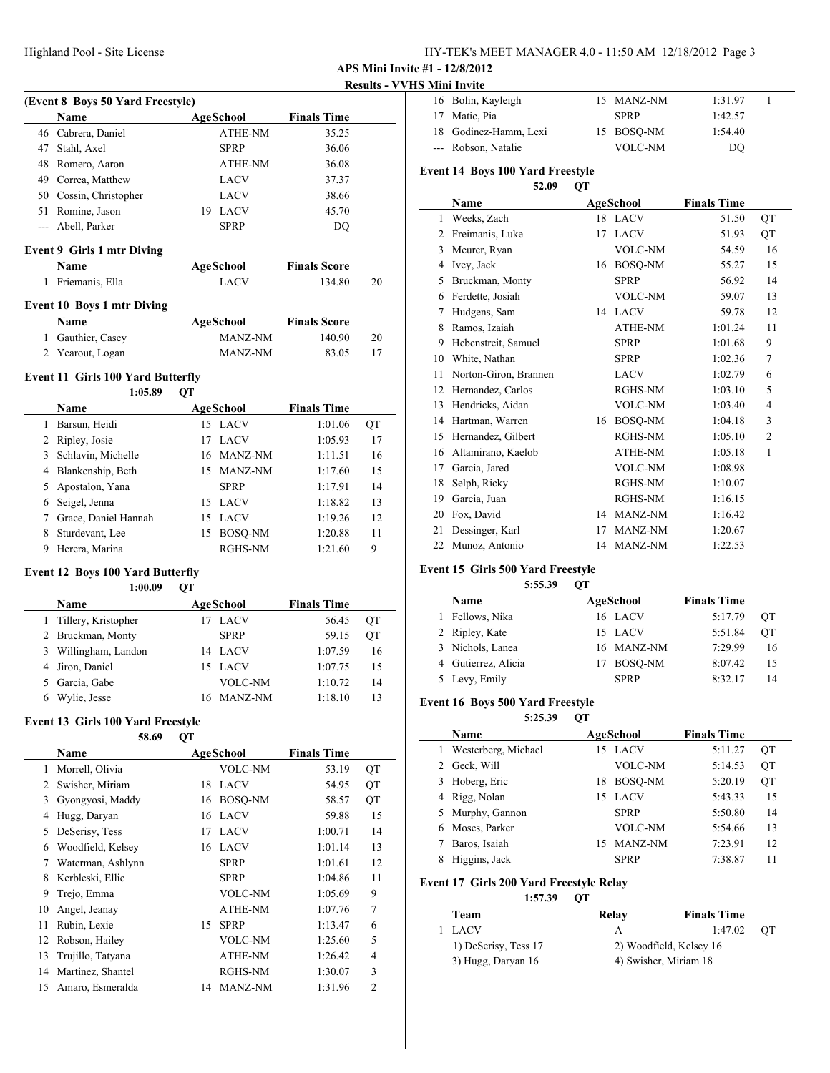| HY-TEK's MEET MANAGER 4.0 - 11:50 AM 12/18/2012 Page 3 |  |  |  |
|--------------------------------------------------------|--|--|--|
|--------------------------------------------------------|--|--|--|

| <b>Results - VVHS Mini Invite</b> |
|-----------------------------------|
|-----------------------------------|

|                | (Event 8 Boys 50 Yard Freestyle)        |    |                  |                     | Results - V v |
|----------------|-----------------------------------------|----|------------------|---------------------|---------------|
|                | Name                                    |    | <b>AgeSchool</b> | <b>Finals Time</b>  |               |
|                | 46 Cabrera, Daniel                      |    | ATHE-NM          | 35.25               |               |
|                | 47 Stahl, Axel                          |    | <b>SPRP</b>      | 36.06               |               |
|                | 48 Romero, Aaron                        |    | ATHE-NM          | 36.08               |               |
|                | 49 Correa, Matthew                      |    | LACV             | 37.37               |               |
|                | 50 Cossin, Christopher                  |    | LACV             | 38.66               |               |
|                | 51 Romine, Jason                        |    | 19 LACV          | 45.70               |               |
|                | --- Abell, Parker                       |    | <b>SPRP</b>      |                     |               |
|                |                                         |    |                  | DQ                  |               |
|                | <b>Event 9 Girls 1 mtr Diving</b>       |    |                  |                     |               |
|                | Name                                    |    | AgeSchool        | <b>Finals Score</b> |               |
| $\mathbf{1}$   | Friemanis, Ella                         |    | LACV             | 134.80              | 20            |
|                | <b>Event 10 Boys 1 mtr Diving</b>       |    |                  |                     |               |
|                | Name                                    |    | AgeSchool        | <b>Finals Score</b> |               |
| 1              | Gauthier, Casey                         |    | MANZ-NM          | 140.90              | 20            |
|                | 2 Yearout, Logan                        |    | MANZ-NM          | 83.05               | 17            |
|                | Event 11 Girls 100 Yard Butterfly       |    |                  |                     |               |
|                | 1:05.89                                 | QT |                  |                     |               |
|                | <b>Name</b>                             |    | <b>AgeSchool</b> | <b>Finals Time</b>  |               |
|                | 1 Barsun, Heidi                         |    | 15 LACV          | 1:01.06             | QT            |
|                | 2 Ripley, Josie                         |    | 17 LACV          | 1:05.93             | 17            |
| $\overline{3}$ | Schlavin, Michelle                      |    | 16 MANZ-NM       | 1:11.51             | 16            |
|                | 4 Blankenship, Beth                     |    | 15 MANZ-NM       | 1:17.60             | 15            |
| 5              | Apostalon, Yana                         |    | <b>SPRP</b>      | 1:17.91             | 14            |
|                | 6 Seigel, Jenna                         |    | 15 LACV          | 1:18.82             | 13            |
|                | 7 Grace, Daniel Hannah                  |    | 15 LACV          | 1:19.26             | 12            |
|                | 8 Sturdevant, Lee                       |    | 15 BOSQ-NM       | 1:20.88             | 11            |
|                | 9 Herera, Marina                        |    | RGHS-NM          | 1:21.60             | 9             |
|                | <b>Event 12 Boys 100 Yard Butterfly</b> |    |                  |                     |               |
|                | 1:00.09                                 | QT |                  |                     |               |
|                | Name                                    |    | AgeSchool        | <b>Finals Time</b>  |               |
| 1              | Tillery, Kristopher                     |    | 17 LACV          | 56.45               | QT            |
|                | 2 Bruckman, Monty                       |    | SPRP             | 59.15               | QT            |
|                | 3 Willingham, Landon                    |    | 14 LACV          | 1:07.59             | 16            |
| 4              | Jiron, Daniel                           |    | 15 LACV          | 1:07.75             | 15            |
| 5              | Garcia, Gabe                            |    | <b>VOLC-NM</b>   | 1:10.72             | 14            |
|                | 6 Wylie, Jesse                          | 16 | MANZ-NM          | 1:18.10             | 13            |
|                | Event 13 Girls 100 Yard Freestyle       |    |                  |                     |               |
|                | 58.69<br>Name                           | OТ | <b>AgeSchool</b> | <b>Finals Time</b>  |               |
| 1              | Morrell, Olivia                         |    | VOLC-NM          | 53.19               | QT            |
| $\overline{2}$ | Swisher, Miriam                         | 18 | LACV             | 54.95               | QT            |
| 3              | Gyongyosi, Maddy                        | 16 | BOSQ-NM          | 58.57               | QT            |
|                | 4 Hugg, Daryan                          | 16 | LACV             | 59.88               | 15            |
| 5              | DeSerisy, Tess                          | 17 | <b>LACV</b>      | 1:00.71             | 14            |
|                | 6 Woodfield, Kelsey                     |    | 16 LACV          | 1:01.14             | 13            |
| 7              | Waterman, Ashlynn                       |    | SPRP             | 1:01.61             | 12            |
|                |                                         |    | SPRP             | 1:04.86             | 11            |
|                |                                         |    |                  |                     |               |
| 8              | Kerbleski, Ellie                        |    |                  |                     |               |
| 9              | Trejo, Emma                             |    | VOLC-NM          | 1:05.69             | 9             |
| 10             | Angel, Jeanay                           |    | ATHE-NM          | 1:07.76             | 7             |
| 11             | Rubin, Lexie                            | 15 | <b>SPRP</b>      | 1:13.47             | 6             |
| 12             | Robson, Hailey                          |    | VOLC-NM          | 1:25.60             | 5             |
| 13             | Trujillo, Tatyana                       |    | ATHE-NM          | 1:26.42             | 4             |
| 14             | Martinez, Shantel                       |    | RGHS-NM          | 1:30.07             | 3             |

| 16 Bolin, Kayleigh    | 15 MANZ-NM  | 1:31.97 |  |
|-----------------------|-------------|---------|--|
| 17 Matic, Pia         | <b>SPRP</b> | 1:42.57 |  |
| 18 Godinez-Hamm, Lexi | 15 BOSO-NM  | 1:54.40 |  |
| --- Robson, Natalie   | VOLC-NM     | DO      |  |

#### **Event 14 Boys 100 Yard Freestyle**

|                | 52.09                 | QT |                |                    |    |
|----------------|-----------------------|----|----------------|--------------------|----|
|                | Name                  |    | AgeSchool      | <b>Finals Time</b> |    |
| 1              | Weeks, Zach           |    | 18 LACV        | 51.50              | QT |
| $\overline{c}$ | Freimanis, Luke       | 17 | <b>LACV</b>    | 51.93              | QT |
| 3              | Meurer, Ryan          |    | <b>VOLC-NM</b> | 54.59              | 16 |
| 4              | Ivey, Jack            | 16 | BOSQ-NM        | 55.27              | 15 |
| 5              | Bruckman, Monty       |    | <b>SPRP</b>    | 56.92              | 14 |
| 6              | Ferdette, Josiah      |    | <b>VOLC-NM</b> | 59.07              | 13 |
| 7              | Hudgens, Sam          | 14 | <b>LACV</b>    | 59.78              | 12 |
| 8              | Ramos, Izaiah         |    | ATHE-NM        | 1:01.24            | 11 |
| 9              | Hebenstreit, Samuel   |    | <b>SPRP</b>    | 1:01.68            | 9  |
| 10             | White, Nathan         |    | <b>SPRP</b>    | 1:02.36            | 7  |
| 11             | Norton-Giron, Brannen |    | <b>LACV</b>    | 1:02.79            | 6  |
| 12             | Hernandez, Carlos     |    | <b>RGHS-NM</b> | 1:03.10            | 5  |
| 13             | Hendricks, Aidan      |    | <b>VOLC-NM</b> | 1:03.40            | 4  |
| 14             | Hartman, Warren       | 16 | BOSQ-NM        | 1:04.18            | 3  |
| 15             | Hernandez, Gilbert    |    | <b>RGHS-NM</b> | 1:05.10            | 2  |
| 16             | Altamirano, Kaelob    |    | <b>ATHE-NM</b> | 1:05.18            | 1  |
| 17             | Garcia, Jared         |    | <b>VOLC-NM</b> | 1:08.98            |    |
| 18             | Selph, Ricky          |    | <b>RGHS-NM</b> | 1:10.07            |    |
| 19             | Garcia, Juan          |    | RGHS-NM        | 1:16.15            |    |
| 20             | Fox, David            | 14 | MANZ-NM        | 1:16.42            |    |
| 21             | Dessinger, Karl       | 17 | MANZ-NM        | 1:20.67            |    |
| 22             | Munoz, Antonio        | 14 | MANZ-NM        | 1:22.53            |    |

#### **Event 15 Girls 500 Yard Freestyle**

**5:55.39 QT**

| <b>Name</b>         | AgeSchool   | <b>Finals Time</b> |    |
|---------------------|-------------|--------------------|----|
| 1 Fellows, Nika     | 16 LACV     | 5:17.79            | ОT |
| 2 Ripley, Kate      | 15 LACV     | 5:51.84            | OТ |
| 3 Nichols, Lanea    | 16 MANZ-NM  | 7:29.99            | 16 |
| 4 Gutierrez, Alicia | 17 BOSO-NM  | 8:07.42            | 15 |
| 5 Levy, Emily       | <b>SPRP</b> | 8:32.17            | 14 |

#### **Event 16 Boys 500 Yard Freestyle**

**5:25.39 QT**

|   | Name                |    | AgeSchool      | <b>Finals Time</b> |           |
|---|---------------------|----|----------------|--------------------|-----------|
|   | Westerberg, Michael |    | 15 LACV        | 5:11.27            | ОT        |
| 2 | Geck, Will          |    | VOLC-NM        | 5:14.53            | <b>OT</b> |
|   | 3 Hoberg, Eric      | 18 | <b>BOSO-NM</b> | 5:20.19            | QT        |
|   | 4 Rigg, Nolan       |    | 15 LACV        | 5:43.33            | 15        |
|   | 5 Murphy, Gannon    |    | <b>SPRP</b>    | 5:50.80            | 14        |
|   | 6 Moses, Parker     |    | VOLC-NM        | 5:54.66            | 13        |
|   | Baros, Isaiah       | 15 | MANZ-NM        | 7:23.91            | 12        |
|   | Higgins, Jack       |    | <b>SPRP</b>    | 7:38.87            |           |

### **Event 17 Girls 200 Yard Freestyle Relay**

**1:57.39 QT**

| Team                 | Relay                   | <b>Finals Time</b> |      |
|----------------------|-------------------------|--------------------|------|
| 1 LACV               | А                       | 1:47.02            | - OT |
| 1) DeSerisy, Tess 17 | 2) Woodfield, Kelsey 16 |                    |      |
| 3) Hugg, Daryan 16   | 4) Swisher, Miriam 18   |                    |      |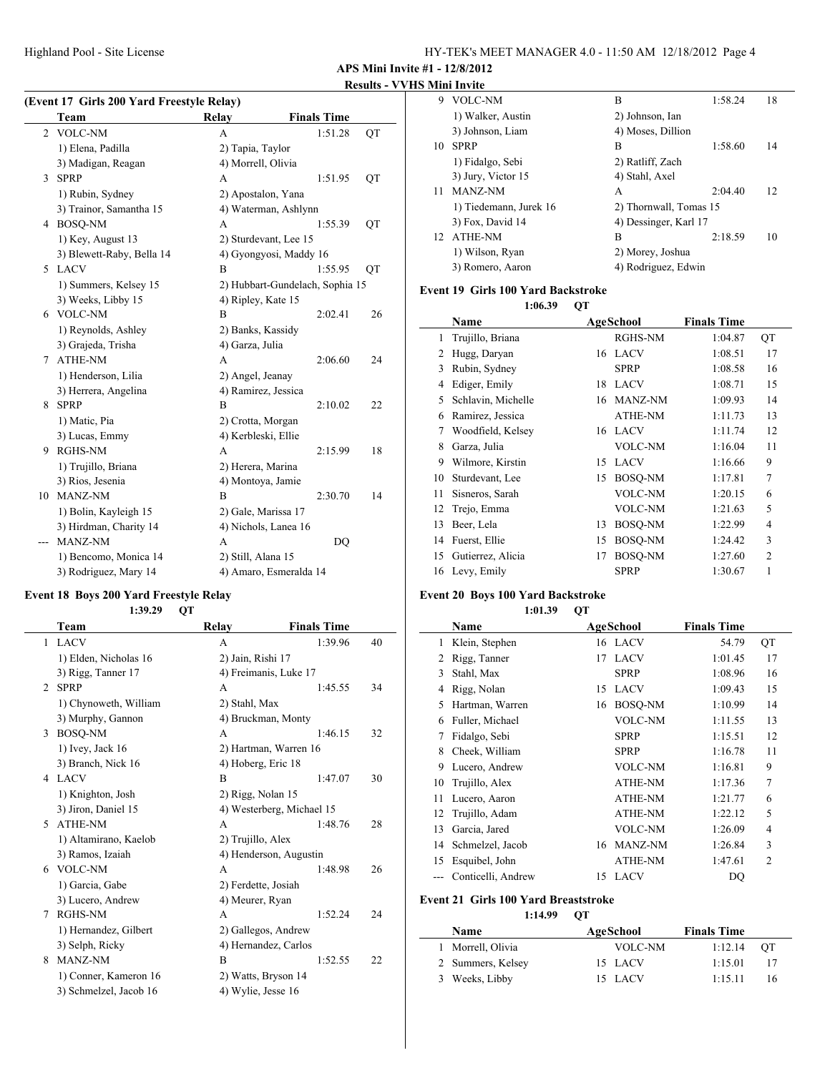Highland Pool - Site License

| HY-TEK's MEET MANAGER 4.0 - 11:50 AM 12/18/2012 Page 4 |  |  |
|--------------------------------------------------------|--|--|
|--------------------------------------------------------|--|--|

**APS Mini Invite #1 - 12/8/2012**

#### **Results - VVHS Mini Invite**

| (Event 17 Girls 200 Yard Freestyle Relay) |                           |                                 |                    |    |  |
|-------------------------------------------|---------------------------|---------------------------------|--------------------|----|--|
|                                           | Team                      | Relay                           | <b>Finals Time</b> |    |  |
| $\overline{c}$                            | <b>VOLC-NM</b>            | A                               | 1:51.28            | QT |  |
|                                           | 1) Elena, Padilla         | 2) Tapia, Taylor                |                    |    |  |
|                                           | 3) Madigan, Reagan        | 4) Morrell, Olivia              |                    |    |  |
| 3                                         | <b>SPRP</b>               | A                               | 1:51.95            | QT |  |
|                                           | 1) Rubin, Sydney          | 2) Apostalon, Yana              |                    |    |  |
|                                           | 3) Trainor, Samantha 15   | 4) Waterman, Ashlynn            |                    |    |  |
| 4                                         | <b>BOSO-NM</b>            | А                               | 1:55.39            | QT |  |
|                                           | 1) Key, August 13         | 2) Sturdevant, Lee 15           |                    |    |  |
|                                           | 3) Blewett-Raby, Bella 14 | 4) Gyongyosi, Maddy 16          |                    |    |  |
| 5                                         | <b>LACV</b>               | B                               | 1:55.95            | QT |  |
|                                           | 1) Summers, Kelsey 15     | 2) Hubbart-Gundelach, Sophia 15 |                    |    |  |
|                                           | 3) Weeks, Libby 15        | 4) Ripley, Kate 15              |                    |    |  |
| 6                                         | <b>VOLC-NM</b>            | B                               | 2:02.41            | 26 |  |
|                                           | 1) Reynolds, Ashley       | 2) Banks, Kassidy               |                    |    |  |
|                                           | 3) Grajeda, Trisha        | 4) Garza, Julia                 |                    |    |  |
| 7                                         | ATHE-NM                   | A                               | 2:06.60            | 24 |  |
|                                           | 1) Henderson, Lilia       | 2) Angel, Jeanay                |                    |    |  |
|                                           | 3) Herrera, Angelina      | 4) Ramirez, Jessica             |                    |    |  |
| 8                                         | <b>SPRP</b>               | B                               | 2:10.02            | 22 |  |
|                                           | 1) Matic, Pia             | 2) Crotta, Morgan               |                    |    |  |
|                                           | 3) Lucas, Emmy            | 4) Kerbleski, Ellie             |                    |    |  |
| 9                                         | <b>RGHS-NM</b>            | A                               | 2:15.99            | 18 |  |
|                                           | 1) Trujillo, Briana       | 2) Herera, Marina               |                    |    |  |
|                                           | 3) Rios, Jesenia          | 4) Montoya, Jamie               |                    |    |  |
| 10                                        | MANZ-NM                   | B                               | 2:30.70            | 14 |  |
|                                           | 1) Bolin, Kayleigh 15     | 2) Gale, Marissa 17             |                    |    |  |
|                                           | 3) Hirdman, Charity 14    | 4) Nichols, Lanea 16            |                    |    |  |
| $---$                                     | MANZ-NM                   | A                               | DQ                 |    |  |
|                                           | 1) Bencomo, Monica 14     | 2) Still, Alana 15              |                    |    |  |
|                                           | 3) Rodriguez, Mary 14     | 4) Amaro, Esmeralda 14          |                    |    |  |

#### **Event 18 Boys 200 Yard Freestyle Relay 1:39.29 QT**

|    | Team                   | Relay                 | <b>Finals Time</b>        |    |
|----|------------------------|-----------------------|---------------------------|----|
| 1  | <b>LACV</b>            | A                     | 1:39.96                   | 40 |
|    | 1) Elden, Nicholas 16  | 2) Jain, Rishi 17     |                           |    |
|    | 3) Rigg, Tanner 17     | 4) Freimanis, Luke 17 |                           |    |
| 2  | <b>SPRP</b>            | A                     | 1:45.55                   | 34 |
|    | 1) Chynoweth, William  | 2) Stahl, Max         |                           |    |
|    | 3) Murphy, Gannon      | 4) Bruckman, Monty    |                           |    |
| 3  | <b>BOSO-NM</b>         | A                     | 1:46.15                   | 32 |
|    | 1) Ivey, Jack 16       | 2) Hartman, Warren 16 |                           |    |
|    | 3) Branch, Nick 16     | 4) Hoberg, Eric 18    |                           |    |
| 4  | <b>LACV</b>            | B                     | 1:47.07                   | 30 |
|    | 1) Knighton, Josh      | 2) Rigg, Nolan 15     |                           |    |
|    | 3) Jiron, Daniel 15    |                       | 4) Westerberg, Michael 15 |    |
| 5. | <b>ATHE-NM</b>         | $\mathsf{A}$          | 1:48.76                   | 28 |
|    | 1) Altamirano, Kaelob  | 2) Trujillo, Alex     |                           |    |
|    | 3) Ramos, Izaiah       |                       | 4) Henderson, Augustin    |    |
|    | 6 VOLC-NM              | A                     | 1:48.98                   | 26 |
|    | 1) Garcia, Gabe        | 2) Ferdette, Josiah   |                           |    |
|    | 3) Lucero, Andrew      | 4) Meurer, Ryan       |                           |    |
| 7  | <b>RGHS-NM</b>         | A                     | 1:52.24                   | 24 |
|    | 1) Hernandez, Gilbert  | 2) Gallegos, Andrew   |                           |    |
|    | 3) Selph, Ricky        | 4) Hernandez, Carlos  |                           |    |
| 8  | <b>MANZ-NM</b>         | B                     | 1:52.55                   | 22 |
|    | 1) Conner, Kameron 16  | 2) Watts, Bryson 14   |                           |    |
|    | 3) Schmelzel, Jacob 16 | 4) Wylie, Jesse 16    |                           |    |

| 9   | VOLC-NM                | B                      | 1:58.24 | 18 |
|-----|------------------------|------------------------|---------|----|
|     | 1) Walker, Austin      | 2) Johnson, Ian        |         |    |
|     | 3) Johnson, Liam       | 4) Moses, Dillion      |         |    |
| 10  | <b>SPRP</b>            | в                      | 1:58.60 | 14 |
|     | 1) Fidalgo, Sebi       | 2) Ratliff, Zach       |         |    |
|     | 3) Jury, Victor 15     | 4) Stahl, Axel         |         |    |
| 11  | MANZ-NM                | A                      | 2:04.40 | 12 |
|     | 1) Tiedemann, Jurek 16 | 2) Thornwall, Tomas 15 |         |    |
|     | 3) Fox, David 14       | 4) Dessinger, Karl 17  |         |    |
| 12. | <b>ATHE-NM</b>         | B                      | 2:18.59 | 10 |
|     | 1) Wilson, Ryan        | 2) Morey, Joshua       |         |    |
|     | 3) Romero, Aaron       | 4) Rodriguez, Edwin    |         |    |
|     |                        |                        |         |    |

## **Event 19 Girls 100 Yard Backstroke**

**1:06.39 QT**

|    | Name               |    | AgeSchool      | <b>Finals Time</b> |                |
|----|--------------------|----|----------------|--------------------|----------------|
| 1  | Trujillo, Briana   |    | RGHS-NM        | 1:04.87            | QT             |
| 2  | Hugg, Daryan       |    | 16 LACV        | 1:08.51            | 17             |
| 3  | Rubin, Sydney      |    | <b>SPRP</b>    | 1:08.58            | 16             |
| 4  | Ediger, Emily      | 18 | <b>LACV</b>    | 1:08.71            | 15             |
| 5  | Schlavin, Michelle | 16 | MANZ-NM        | 1:09.93            | 14             |
| 6  | Ramirez, Jessica   |    | <b>ATHE-NM</b> | 1:11.73            | 13             |
| 7  | Woodfield, Kelsey  |    | 16 LACV        | 1:11.74            | 12             |
| 8  | Garza, Julia       |    | VOLC-NM        | 1:16.04            | 11             |
| 9  | Wilmore, Kirstin   | 15 | <b>LACV</b>    | 1:16.66            | 9              |
| 10 | Sturdevant, Lee    | 15 | BOSO-NM        | 1:17.81            | $\overline{7}$ |
| 11 | Sisneros, Sarah    |    | VOLC-NM        | 1:20.15            | 6              |
| 12 | Trejo, Emma        |    | VOLC-NM        | 1:21.63            | 5              |
| 13 | Beer, Lela         | 13 | <b>BOSO-NM</b> | 1:22.99            | 4              |
| 14 | Fuerst, Ellie      | 15 | BOSQ-NM        | 1:24.42            | 3              |
| 15 | Gutierrez, Alicia  | 17 | BOSQ-NM        | 1:27.60            | $\overline{2}$ |
| 16 | Levy, Emily        |    | <b>SPRP</b>    | 1:30.67            | 1              |
|    |                    |    |                |                    |                |

### **Event 20 Boys 100 Yard Backstroke**

#### **1:01.39 QT**

|    | Name               |    | <b>AgeSchool</b> | <b>Finals Time</b> |                |
|----|--------------------|----|------------------|--------------------|----------------|
| 1  | Klein, Stephen     |    | 16 LACV          | 54.79              | QT             |
| 2  | Rigg, Tanner       | 17 | <b>LACV</b>      | 1:01.45            | 17             |
| 3  | Stahl, Max         |    | <b>SPRP</b>      | 1:08.96            | 16             |
| 4  | Rigg, Nolan        | 15 | <b>LACV</b>      | 1:09.43            | 15             |
| 5  | Hartman, Warren    | 16 | BOSQ-NM          | 1:10.99            | 14             |
| 6  | Fuller, Michael    |    | VOLC-NM          | 1:11.55            | 13             |
| 7  | Fidalgo, Sebi      |    | <b>SPRP</b>      | 1:15.51            | 12             |
| 8  | Cheek, William     |    | <b>SPRP</b>      | 1:16.78            | 11             |
| 9  | Lucero, Andrew     |    | VOLC-NM          | 1:16.81            | 9              |
| 10 | Trujillo, Alex     |    | <b>ATHE-NM</b>   | 1:17.36            | 7              |
| 11 | Lucero, Aaron      |    | <b>ATHE-NM</b>   | 1:21.77            | 6              |
| 12 | Trujillo, Adam     |    | <b>ATHE-NM</b>   | 1:22.12            | 5              |
| 13 | Garcia, Jared      |    | VOLC-NM          | 1:26.09            | $\overline{4}$ |
| 14 | Schmelzel, Jacob   | 16 | MANZ-NM          | 1:26.84            | 3              |
| 15 | Esquibel, John     |    | <b>ATHE-NM</b>   | 1:47.61            | $\overline{2}$ |
|    | Conticelli, Andrew | 15 | <b>LACV</b>      | DQ                 |                |

#### **Event 21 Girls 100 Yard Breaststroke**

**1:14.99 QT**

| Name              | AgeSchool | <b>Finals Time</b> |      |
|-------------------|-----------|--------------------|------|
| 1 Morrell, Olivia | VOLC-NM   | 1:12.14            | - OT |
| 2 Summers, Kelsey | 15 LACV   | 1:15.01            | 17   |
| 3 Weeks, Libby    | 15 LACV   | 1:15.11            | 16   |